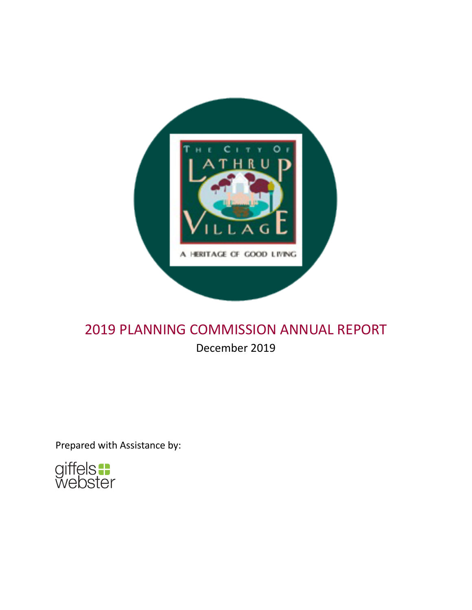

# 2019 PLANNING COMMISSION ANNUAL REPORT

December 2019

Prepared with Assistance by:

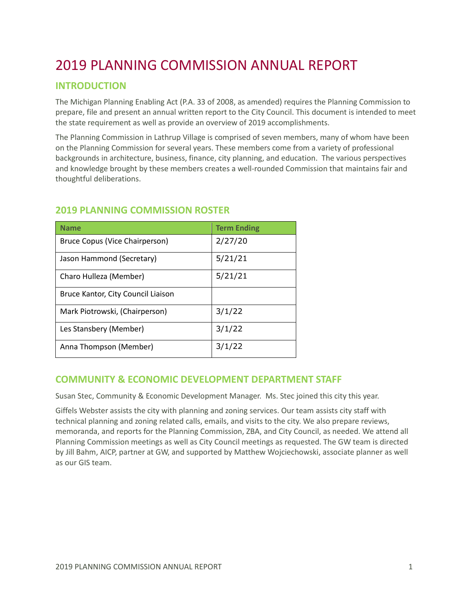# 2019 PLANNING COMMISSION ANNUAL REPORT

# **INTRODUCTION**

The Michigan Planning Enabling Act (P.A. 33 of 2008, as amended) requires the Planning Commission to prepare, file and present an annual written report to the City Council. This document is intended to meet the state requirement as well as provide an overview of 2019 accomplishments.

The Planning Commission in Lathrup Village is comprised of seven members, many of whom have been on the Planning Commission for several years. These members come from a variety of professional backgrounds in architecture, business, finance, city planning, and education. The various perspectives and knowledge brought by these members creates a well-rounded Commission that maintains fair and thoughtful deliberations.

| <b>Name</b>                        | <b>Term Ending</b> |
|------------------------------------|--------------------|
| Bruce Copus (Vice Chairperson)     | 2/27/20            |
| Jason Hammond (Secretary)          | 5/21/21            |
| Charo Hulleza (Member)             | 5/21/21            |
| Bruce Kantor, City Council Liaison |                    |
| Mark Piotrowski, (Chairperson)     | 3/1/22             |
| Les Stansbery (Member)             | 3/1/22             |
| Anna Thompson (Member)             | 3/1/22             |

# **2019 PLANNING COMMISSION ROSTER**

# **COMMUNITY & ECONOMIC DEVELOPMENT DEPARTMENT STAFF**

Susan Stec, Community & Economic Development Manager. Ms. Stec joined this city this year.

Giffels Webster assists the city with planning and zoning services. Our team assists city staff with technical planning and zoning related calls, emails, and visits to the city. We also prepare reviews, memoranda, and reports for the Planning Commission, ZBA, and City Council, as needed. We attend all Planning Commission meetings as well as City Council meetings as requested. The GW team is directed by Jill Bahm, AICP, partner at GW, and supported by Matthew Wojciechowski, associate planner as well as our GIS team.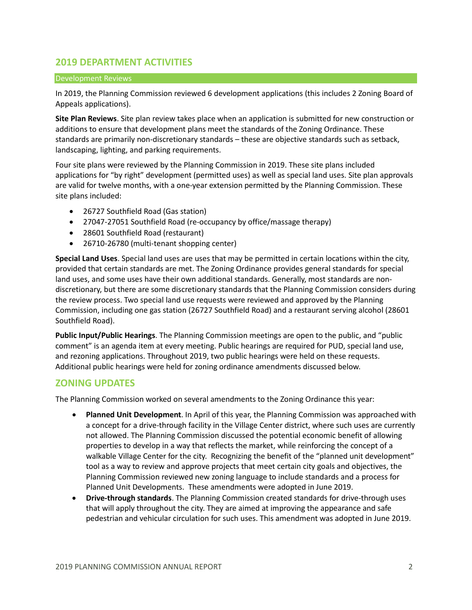# **2019 DEPARTMENT ACTIVITIES**

#### Development Reviews

In 2019, the Planning Commission reviewed 6 development applications (this includes 2 Zoning Board of Appeals applications).

**Site Plan Reviews**. Site plan review takes place when an application is submitted for new construction or additions to ensure that development plans meet the standards of the Zoning Ordinance. These standards are primarily non-discretionary standards – these are objective standards such as setback, landscaping, lighting, and parking requirements.

Four site plans were reviewed by the Planning Commission in 2019. These site plans included applications for "by right" development (permitted uses) as well as special land uses. Site plan approvals are valid for twelve months, with a one-year extension permitted by the Planning Commission. These site plans included:

- 26727 Southfield Road (Gas station)
- 27047-27051 Southfield Road (re-occupancy by office/massage therapy)
- 28601 Southfield Road (restaurant)
- 26710-26780 (multi-tenant shopping center)

**Special Land Uses**. Special land uses are uses that may be permitted in certain locations within the city, provided that certain standards are met. The Zoning Ordinance provides general standards for special land uses, and some uses have their own additional standards. Generally, most standards are nondiscretionary, but there are some discretionary standards that the Planning Commission considers during the review process. Two special land use requests were reviewed and approved by the Planning Commission, including one gas station (26727 Southfield Road) and a restaurant serving alcohol (28601 Southfield Road).

**Public Input/Public Hearings**. The Planning Commission meetings are open to the public, and "public comment" is an agenda item at every meeting. Public hearings are required for PUD, special land use, and rezoning applications. Throughout 2019, two public hearings were held on these requests. Additional public hearings were held for zoning ordinance amendments discussed below.

# **ZONING UPDATES**

The Planning Commission worked on several amendments to the Zoning Ordinance this year:

- **Planned Unit Development**. In April of this year, the Planning Commission was approached with a concept for a drive-through facility in the Village Center district, where such uses are currently not allowed. The Planning Commission discussed the potential economic benefit of allowing properties to develop in a way that reflects the market, while reinforcing the concept of a walkable Village Center for the city. Recognizing the benefit of the "planned unit development" tool as a way to review and approve projects that meet certain city goals and objectives, the Planning Commission reviewed new zoning language to include standards and a process for Planned Unit Developments. These amendments were adopted in June 2019.
- **Drive-through standards**. The Planning Commission created standards for drive-through uses that will apply throughout the city. They are aimed at improving the appearance and safe pedestrian and vehicular circulation for such uses. This amendment was adopted in June 2019.